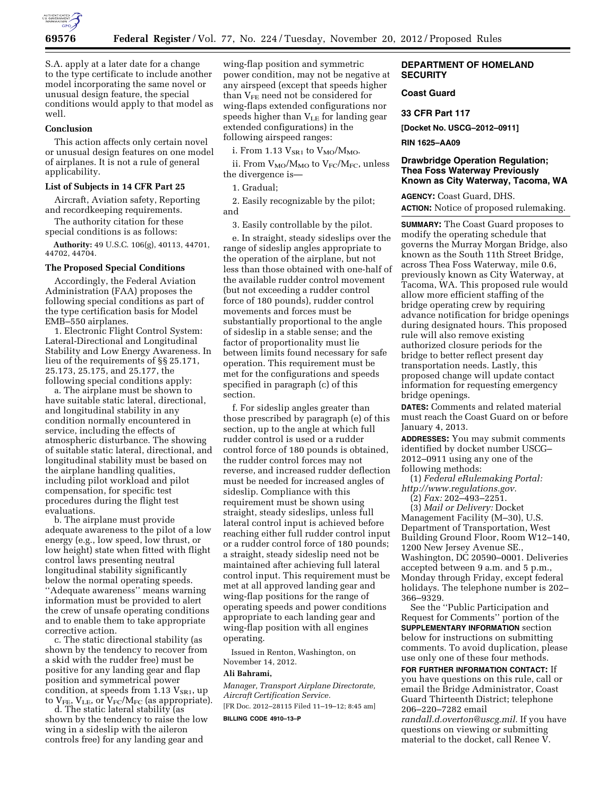

S.A. apply at a later date for a change to the type certificate to include another model incorporating the same novel or unusual design feature, the special conditions would apply to that model as well.

#### **Conclusion**

This action affects only certain novel or unusual design features on one model of airplanes. It is not a rule of general applicability.

### **List of Subjects in 14 CFR Part 25**

Aircraft, Aviation safety, Reporting and recordkeeping requirements.

The authority citation for these special conditions is as follows:

**Authority:** 49 U.S.C. 106(g), 40113, 44701, 44702, 44704.

### **The Proposed Special Conditions**

Accordingly, the Federal Aviation Administration (FAA) proposes the following special conditions as part of the type certification basis for Model EMB–550 airplanes.

1. Electronic Flight Control System: Lateral-Directional and Longitudinal Stability and Low Energy Awareness. In lieu of the requirements of §§ 25.171, 25.173, 25.175, and 25.177, the following special conditions apply:

a. The airplane must be shown to have suitable static lateral, directional, and longitudinal stability in any condition normally encountered in service, including the effects of atmospheric disturbance. The showing of suitable static lateral, directional, and longitudinal stability must be based on the airplane handling qualities, including pilot workload and pilot compensation, for specific test procedures during the flight test evaluations.

b. The airplane must provide adequate awareness to the pilot of a low energy (e.g., low speed, low thrust, or low height) state when fitted with flight control laws presenting neutral longitudinal stability significantly below the normal operating speeds. ''Adequate awareness'' means warning information must be provided to alert the crew of unsafe operating conditions and to enable them to take appropriate corrective action.

c. The static directional stability (as shown by the tendency to recover from a skid with the rudder free) must be positive for any landing gear and flap position and symmetrical power condition, at speeds from  $1.13$   $V_{SR1}$ , up to  $\rm V_{FE},\rm V_{LE},$  or  $\rm V_{FC}/M_{FC}$  (as appropriate).

d. The static lateral stability (as shown by the tendency to raise the low wing in a sideslip with the aileron controls free) for any landing gear and

wing-flap position and symmetric power condition, may not be negative at any airspeed (except that speeds higher than  $V_{FE}$  need not be considered for wing-flaps extended configurations nor speeds higher than  $V_{LE}$  for landing gear extended configurations) in the following airspeed ranges:

i. From 1.13  $V_{SR1}$  to  $V_{MO}/M_{MO}$ .

ii. From  $V_{MO}/M_{MO}$  to  $V_{FC}/M_{FC}$ , unless the divergence is—

1. Gradual;

2. Easily recognizable by the pilot; and

3. Easily controllable by the pilot.

e. In straight, steady sideslips over the range of sideslip angles appropriate to the operation of the airplane, but not less than those obtained with one-half of the available rudder control movement (but not exceeding a rudder control force of 180 pounds), rudder control movements and forces must be substantially proportional to the angle of sideslip in a stable sense; and the factor of proportionality must lie between limits found necessary for safe operation. This requirement must be met for the configurations and speeds specified in paragraph (c) of this section.

f. For sideslip angles greater than those prescribed by paragraph (e) of this section, up to the angle at which full rudder control is used or a rudder control force of 180 pounds is obtained, the rudder control forces may not reverse, and increased rudder deflection must be needed for increased angles of sideslip. Compliance with this requirement must be shown using straight, steady sideslips, unless full lateral control input is achieved before reaching either full rudder control input or a rudder control force of 180 pounds; a straight, steady sideslip need not be maintained after achieving full lateral control input. This requirement must be met at all approved landing gear and wing-flap positions for the range of operating speeds and power conditions appropriate to each landing gear and wing-flap position with all engines operating.

Issued in Renton, Washington, on November 14, 2012.

#### **Ali Bahrami,**

*Manager, Transport Airplane Directorate, Aircraft Certification Service.*  [FR Doc. 2012–28115 Filed 11–19–12; 8:45 am] **BILLING CODE 4910–13–P** 

# **DEPARTMENT OF HOMELAND SECURITY**

# **Coast Guard**

#### **33 CFR Part 117**

**[Docket No. USCG–2012–0911]** 

**RIN 1625–AA09** 

## **Drawbridge Operation Regulation; Thea Foss Waterway Previously Known as City Waterway, Tacoma, WA**

**AGENCY:** Coast Guard, DHS. **ACTION:** Notice of proposed rulemaking.

**SUMMARY:** The Coast Guard proposes to modify the operating schedule that governs the Murray Morgan Bridge, also known as the South 11th Street Bridge, across Thea Foss Waterway, mile 0.6, previously known as City Waterway, at Tacoma, WA. This proposed rule would allow more efficient staffing of the bridge operating crew by requiring advance notification for bridge openings during designated hours. This proposed rule will also remove existing authorized closure periods for the bridge to better reflect present day transportation needs. Lastly, this proposed change will update contact information for requesting emergency bridge openings.

**DATES:** Comments and related material must reach the Coast Guard on or before January 4, 2013.

**ADDRESSES:** You may submit comments identified by docket number USCG– 2012–0911 using any one of the following methods:

(1) *Federal eRulemaking Portal: [http://www.regulations.gov.](http://www.regulations.gov)* 

(2) *Fax:* 202–493–2251.

(3) *Mail or Delivery:* Docket Management Facility (M–30), U.S. Department of Transportation, West Building Ground Floor, Room W12–140, 1200 New Jersey Avenue SE., Washington, DC 20590–0001. Deliveries accepted between 9 a.m. and 5 p.m., Monday through Friday, except federal holidays. The telephone number is 202– 366–9329.

See the ''Public Participation and Request for Comments'' portion of the **SUPPLEMENTARY INFORMATION** section below for instructions on submitting comments. To avoid duplication, please use only one of these four methods.

**FOR FURTHER INFORMATION CONTACT:** If you have questions on this rule, call or email the Bridge Administrator, Coast Guard Thirteenth District; telephone 206–220–7282 email *[randall.d.overton@uscg.mil.](mailto:randall.d.overton@uscg.mil)* If you have questions on viewing or submitting material to the docket, call Renee V.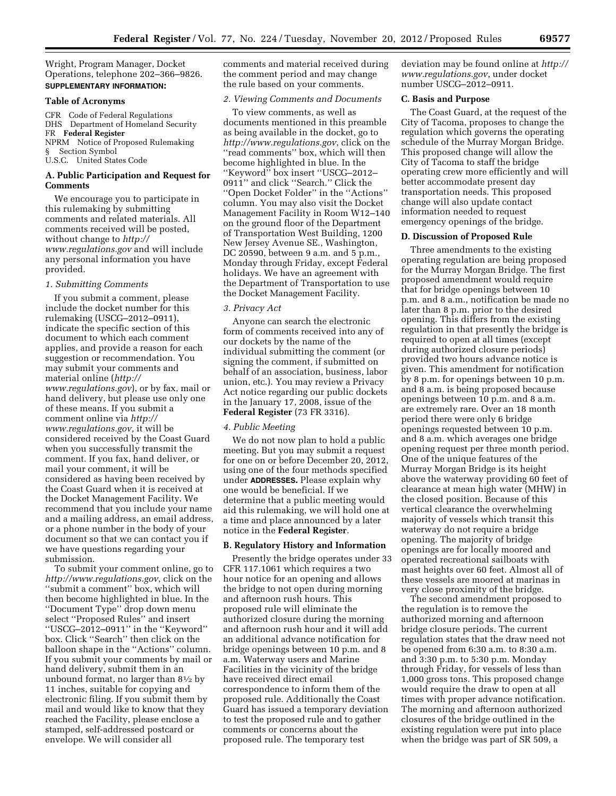Wright, Program Manager, Docket Operations, telephone 202–366–9826. **SUPPLEMENTARY INFORMATION:** 

#### **Table of Acronyms**

CFR Code of Federal Regulations DHS Department of Homeland Security FR **Federal Register**  NPRM Notice of Proposed Rulemaking § Section Symbol U.S.C. United States Code

### **A. Public Participation and Request for Comments**

We encourage you to participate in this rulemaking by submitting comments and related materials. All comments received will be posted, without change to *[http://](http://www.regulations.gov) [www.regulations.gov](http://www.regulations.gov)* and will include any personal information you have provided.

#### *1. Submitting Comments*

If you submit a comment, please include the docket number for this rulemaking (USCG–2012–0911), indicate the specific section of this document to which each comment applies, and provide a reason for each suggestion or recommendation. You may submit your comments and material online (*[http://](http://www.regulations.gov)  [www.regulations.gov](http://www.regulations.gov)*), or by fax, mail or hand delivery, but please use only one of these means. If you submit a comment online via *[http://](http://www.regulations.gov) [www.regulations.gov,](http://www.regulations.gov)* it will be considered received by the Coast Guard when you successfully transmit the comment. If you fax, hand deliver, or mail your comment, it will be considered as having been received by the Coast Guard when it is received at the Docket Management Facility. We recommend that you include your name and a mailing address, an email address, or a phone number in the body of your document so that we can contact you if we have questions regarding your submission.

To submit your comment online, go to *<http://www.regulations.gov>*, click on the ''submit a comment'' box, which will then become highlighted in blue. In the ''Document Type'' drop down menu select ''Proposed Rules'' and insert ''USCG–2012–0911'' in the ''Keyword'' box. Click ''Search'' then click on the balloon shape in the ''Actions'' column. If you submit your comments by mail or hand delivery, submit them in an unbound format, no larger than  $8\frac{1}{2}$  by 11 inches, suitable for copying and electronic filing. If you submit them by mail and would like to know that they reached the Facility, please enclose a stamped, self-addressed postcard or envelope. We will consider all

comments and material received during the comment period and may change the rule based on your comments.

### *2. Viewing Comments and Documents*

To view comments, as well as documents mentioned in this preamble as being available in the docket, go to *<http://www.regulations.gov>*, click on the ''read comments'' box, which will then become highlighted in blue. In the ''Keyword'' box insert ''USCG–2012– 0911'' and click ''Search.'' Click the ''Open Docket Folder'' in the ''Actions'' column. You may also visit the Docket Management Facility in Room W12–140 on the ground floor of the Department of Transportation West Building, 1200 New Jersey Avenue SE., Washington, DC 20590, between 9 a.m. and 5 p.m., Monday through Friday, except Federal holidays. We have an agreement with the Department of Transportation to use the Docket Management Facility.

#### *3. Privacy Act*

Anyone can search the electronic form of comments received into any of our dockets by the name of the individual submitting the comment (or signing the comment, if submitted on behalf of an association, business, labor union, etc.). You may review a Privacy Act notice regarding our public dockets in the January 17, 2008, issue of the **Federal Register** (73 FR 3316).

#### *4. Public Meeting*

We do not now plan to hold a public meeting. But you may submit a request for one on or before December 20, 2012, using one of the four methods specified under **ADDRESSES.** Please explain why one would be beneficial. If we determine that a public meeting would aid this rulemaking, we will hold one at a time and place announced by a later notice in the **Federal Register**.

#### **B. Regulatory History and Information**

Presently the bridge operates under 33 CFR 117.1061 which requires a two hour notice for an opening and allows the bridge to not open during morning and afternoon rush hours. This proposed rule will eliminate the authorized closure during the morning and afternoon rush hour and it will add an additional advance notification for bridge openings between 10 p.m. and 8 a.m. Waterway users and Marine Facilities in the vicinity of the bridge have received direct email correspondence to inform them of the proposed rule. Additionally the Coast Guard has issued a temporary deviation to test the proposed rule and to gather comments or concerns about the proposed rule. The temporary test

deviation may be found online at *[http://](http://www.regulations.gov)  [www.regulations.gov](http://www.regulations.gov)*, under docket number USCG–2012–0911.

# **C. Basis and Purpose**

The Coast Guard, at the request of the City of Tacoma, proposes to change the regulation which governs the operating schedule of the Murray Morgan Bridge. This proposed change will allow the City of Tacoma to staff the bridge operating crew more efficiently and will better accommodate present day transportation needs. This proposed change will also update contact information needed to request emergency openings of the bridge.

# **D. Discussion of Proposed Rule**

Three amendments to the existing operating regulation are being proposed for the Murray Morgan Bridge. The first proposed amendment would require that for bridge openings between 10 p.m. and 8 a.m., notification be made no later than 8 p.m. prior to the desired opening. This differs from the existing regulation in that presently the bridge is required to open at all times (except during authorized closure periods) provided two hours advance notice is given. This amendment for notification by 8 p.m. for openings between 10 p.m. and 8 a.m. is being proposed because openings between 10 p.m. and 8 a.m. are extremely rare. Over an 18 month period there were only 6 bridge openings requested between 10 p.m. and 8 a.m. which averages one bridge opening request per three month period. One of the unique features of the Murray Morgan Bridge is its height above the waterway providing 60 feet of clearance at mean high water (MHW) in the closed position. Because of this vertical clearance the overwhelming majority of vessels which transit this waterway do not require a bridge opening. The majority of bridge openings are for locally moored and operated recreational sailboats with mast heights over 60 feet. Almost all of these vessels are moored at marinas in very close proximity of the bridge.

The second amendment proposed to the regulation is to remove the authorized morning and afternoon bridge closure periods. The current regulation states that the draw need not be opened from 6:30 a.m. to 8:30 a.m. and 3:30 p.m. to 5:30 p.m. Monday through Friday, for vessels of less than 1,000 gross tons. This proposed change would require the draw to open at all times with proper advance notification. The morning and afternoon authorized closures of the bridge outlined in the existing regulation were put into place when the bridge was part of SR 509, a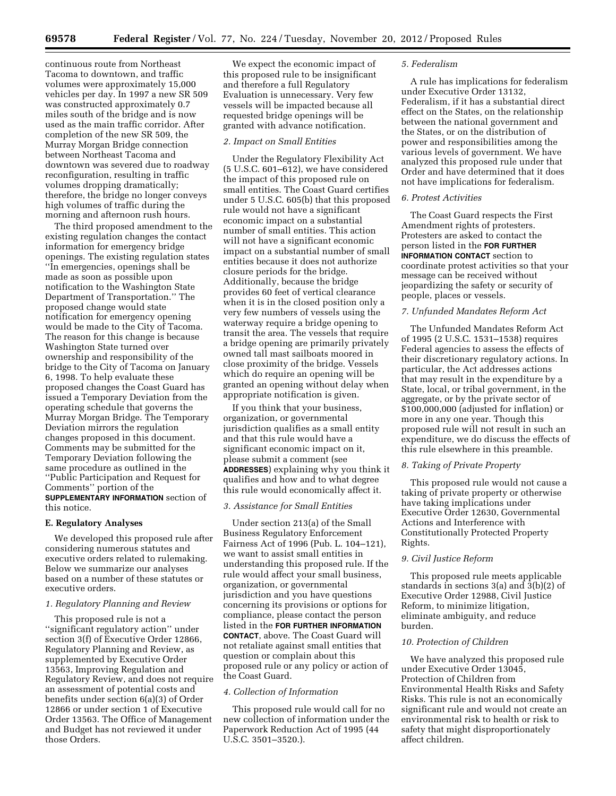continuous route from Northeast Tacoma to downtown, and traffic volumes were approximately 15,000 vehicles per day. In 1997 a new SR 509 was constructed approximately 0.7 miles south of the bridge and is now used as the main traffic corridor. After completion of the new SR 509, the Murray Morgan Bridge connection between Northeast Tacoma and downtown was severed due to roadway reconfiguration, resulting in traffic volumes dropping dramatically; therefore, the bridge no longer conveys high volumes of traffic during the morning and afternoon rush hours.

The third proposed amendment to the existing regulation changes the contact information for emergency bridge openings. The existing regulation states ''In emergencies, openings shall be made as soon as possible upon notification to the Washington State Department of Transportation.'' The proposed change would state notification for emergency opening would be made to the City of Tacoma. The reason for this change is because Washington State turned over ownership and responsibility of the bridge to the City of Tacoma on January 6, 1998. To help evaluate these proposed changes the Coast Guard has issued a Temporary Deviation from the operating schedule that governs the Murray Morgan Bridge. The Temporary Deviation mirrors the regulation changes proposed in this document. Comments may be submitted for the Temporary Deviation following the same procedure as outlined in the ''Public Participation and Request for Comments'' portion of the **SUPPLEMENTARY INFORMATION** section of this notice.

### **E. Regulatory Analyses**

We developed this proposed rule after considering numerous statutes and executive orders related to rulemaking. Below we summarize our analyses based on a number of these statutes or executive orders.

#### *1. Regulatory Planning and Review*

This proposed rule is not a ''significant regulatory action'' under section 3(f) of Executive Order 12866, Regulatory Planning and Review, as supplemented by Executive Order 13563, Improving Regulation and Regulatory Review, and does not require an assessment of potential costs and benefits under section 6(a)(3) of Order 12866 or under section 1 of Executive Order 13563. The Office of Management and Budget has not reviewed it under those Orders.

We expect the economic impact of this proposed rule to be insignificant and therefore a full Regulatory Evaluation is unnecessary. Very few vessels will be impacted because all requested bridge openings will be granted with advance notification.

### *2. Impact on Small Entities*

Under the Regulatory Flexibility Act (5 U.S.C. 601–612), we have considered the impact of this proposed rule on small entities. The Coast Guard certifies under 5 U.S.C. 605(b) that this proposed rule would not have a significant economic impact on a substantial number of small entities. This action will not have a significant economic impact on a substantial number of small entities because it does not authorize closure periods for the bridge. Additionally, because the bridge provides 60 feet of vertical clearance when it is in the closed position only a very few numbers of vessels using the waterway require a bridge opening to transit the area. The vessels that require a bridge opening are primarily privately owned tall mast sailboats moored in close proximity of the bridge. Vessels which do require an opening will be granted an opening without delay when appropriate notification is given.

If you think that your business, organization, or governmental jurisdiction qualifies as a small entity and that this rule would have a significant economic impact on it, please submit a comment (see **ADDRESSES**) explaining why you think it qualifies and how and to what degree this rule would economically affect it.

#### *3. Assistance for Small Entities*

Under section 213(a) of the Small Business Regulatory Enforcement Fairness Act of 1996 (Pub. L. 104–121), we want to assist small entities in understanding this proposed rule. If the rule would affect your small business, organization, or governmental jurisdiction and you have questions concerning its provisions or options for compliance, please contact the person listed in the **FOR FURTHER INFORMATION CONTACT**, above. The Coast Guard will not retaliate against small entities that question or complain about this proposed rule or any policy or action of the Coast Guard.

#### *4. Collection of Information*

This proposed rule would call for no new collection of information under the Paperwork Reduction Act of 1995 (44 U.S.C. 3501–3520.).

#### *5. Federalism*

A rule has implications for federalism under Executive Order 13132, Federalism, if it has a substantial direct effect on the States, on the relationship between the national government and the States, or on the distribution of power and responsibilities among the various levels of government. We have analyzed this proposed rule under that Order and have determined that it does not have implications for federalism.

#### *6. Protest Activities*

The Coast Guard respects the First Amendment rights of protesters. Protesters are asked to contact the person listed in the **FOR FURTHER INFORMATION CONTACT** section to coordinate protest activities so that your message can be received without jeopardizing the safety or security of people, places or vessels.

#### *7. Unfunded Mandates Reform Act*

The Unfunded Mandates Reform Act of 1995 (2 U.S.C. 1531–1538) requires Federal agencies to assess the effects of their discretionary regulatory actions. In particular, the Act addresses actions that may result in the expenditure by a State, local, or tribal government, in the aggregate, or by the private sector of \$100,000,000 (adjusted for inflation) or more in any one year. Though this proposed rule will not result in such an expenditure, we do discuss the effects of this rule elsewhere in this preamble.

### *8. Taking of Private Property*

This proposed rule would not cause a taking of private property or otherwise have taking implications under Executive Order 12630, Governmental Actions and Interference with Constitutionally Protected Property Rights.

### *9. Civil Justice Reform*

This proposed rule meets applicable standards in sections 3(a) and 3(b)(2) of Executive Order 12988, Civil Justice Reform, to minimize litigation, eliminate ambiguity, and reduce burden.

### *10. Protection of Children*

We have analyzed this proposed rule under Executive Order 13045, Protection of Children from Environmental Health Risks and Safety Risks. This rule is not an economically significant rule and would not create an environmental risk to health or risk to safety that might disproportionately affect children.